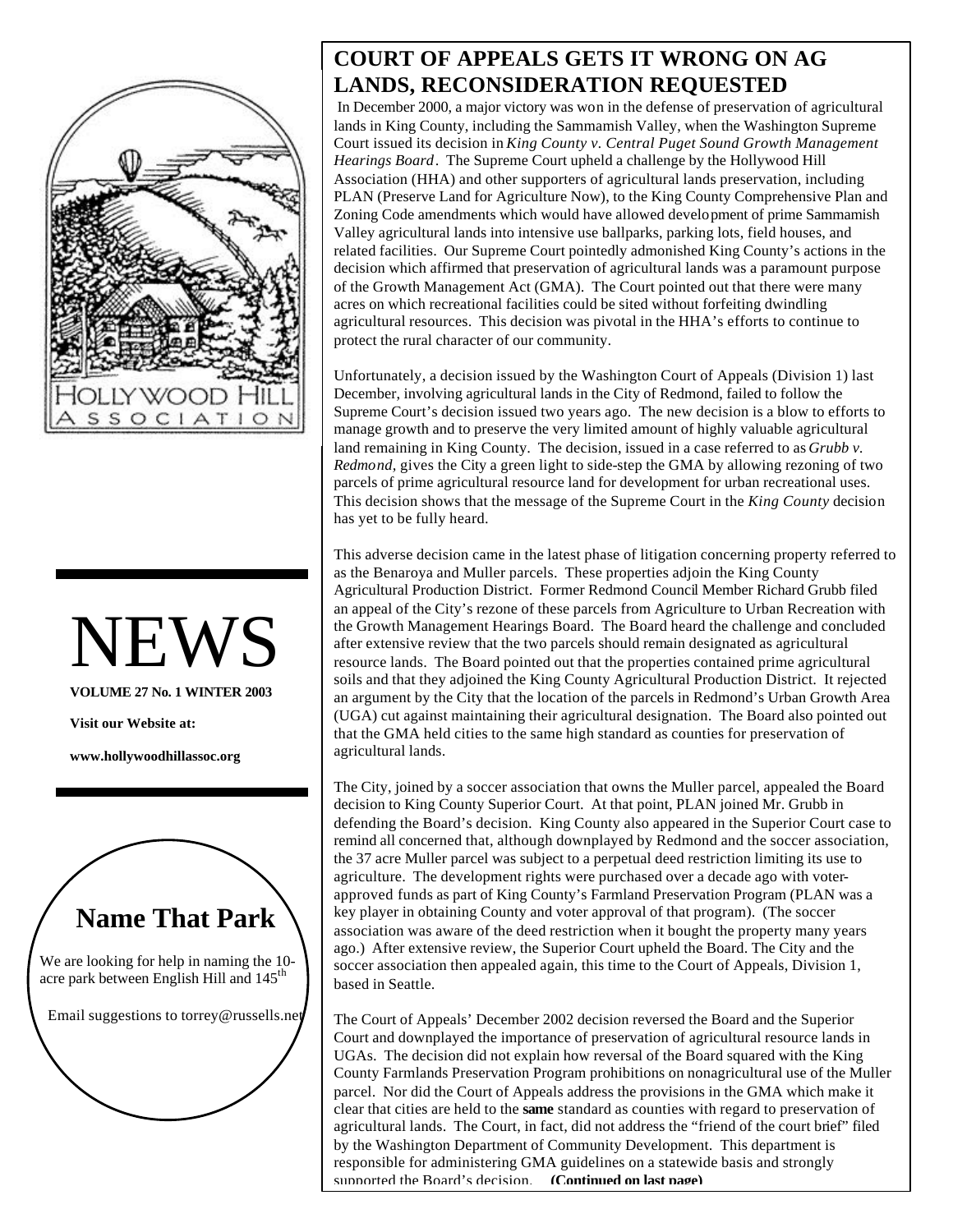

# NEWS

**VOLUME 27 No. 1 WINTER 2003**

**Visit our Website at:**

**www.hollywoodhillassoc.org**



#### **COURT OF APPEALS GETS IT WRONG ON AG LANDS, RECONSIDERATION REQUESTED**

In December 2000, a major victory was won in the defense of preservation of agricultural lands in King County, including the Sammamish Valley, when the Washington Supreme Court issued its decision in *King County v. Central Puget Sound Growth Management Hearings Board*. The Supreme Court upheld a challenge by the Hollywood Hill Association (HHA) and other supporters of agricultural lands preservation, including PLAN (Preserve Land for Agriculture Now), to the King County Comprehensive Plan and Zoning Code amendments which would have allowed development of prime Sammamish Valley agricultural lands into intensive use ballparks, parking lots, field houses, and related facilities. Our Supreme Court pointedly admonished King County's actions in the decision which affirmed that preservation of agricultural lands was a paramount purpose of the Growth Management Act (GMA). The Court pointed out that there were many acres on which recreational facilities could be sited without forfeiting dwindling agricultural resources. This decision was pivotal in the HHA's efforts to continue to protect the rural character of our community.

Unfortunately, a decision issued by the Washington Court of Appeals (Division 1) last December, involving agricultural lands in the City of Redmond, failed to follow the Supreme Court's decision issued two years ago. The new decision is a blow to efforts to manage growth and to preserve the very limited amount of highly valuable agricultural land remaining in King County. The decision, issued in a case referred to as *Grubb v. Redmond,* gives the City a green light to side-step the GMA by allowing rezoning of two parcels of prime agricultural resource land for development for urban recreational uses. This decision shows that the message of the Supreme Court in the *King County* decision has yet to be fully heard.

This adverse decision came in the latest phase of litigation concerning property referred to as the Benaroya and Muller parcels. These properties adjoin the King County Agricultural Production District. Former Redmond Council Member Richard Grubb filed an appeal of the City's rezone of these parcels from Agriculture to Urban Recreation with the Growth Management Hearings Board. The Board heard the challenge and concluded after extensive review that the two parcels should remain designated as agricultural resource lands. The Board pointed out that the properties contained prime agricultural soils and that they adjoined the King County Agricultural Production District. It rejected an argument by the City that the location of the parcels in Redmond's Urban Growth Area (UGA) cut against maintaining their agricultural designation. The Board also pointed out that the GMA held cities to the same high standard as counties for preservation of agricultural lands.

The City, joined by a soccer association that owns the Muller parcel, appealed the Board decision to King County Superior Court. At that point, PLAN joined Mr. Grubb in defending the Board's decision. King County also appeared in the Superior Court case to remind all concerned that, although downplayed by Redmond and the soccer association, the 37 acre Muller parcel was subject to a perpetual deed restriction limiting its use to agriculture. The development rights were purchased over a decade ago with voterapproved funds as part of King County's Farmland Preservation Program (PLAN was a key player in obtaining County and voter approval of that program). (The soccer association was aware of the deed restriction when it bought the property many years ago.) After extensive review, the Superior Court upheld the Board. The City and the soccer association then appealed again, this time to the Court of Appeals, Division 1, based in Seattle.

The Court of Appeals' December 2002 decision reversed the Board and the Superior Court and downplayed the importance of preservation of agricultural resource lands in UGAs. The decision did not explain how reversal of the Board squared with the King County Farmlands Preservation Program prohibitions on nonagricultural use of the Muller parcel. Nor did the Court of Appeals address the provisions in the GMA which make it clear that cities are held to the **same** standard as counties with regard to preservation of agricultural lands. The Court, in fact, did not address the "friend of the court brief" filed by the Washington Department of Community Development. This department is responsible for administering GMA guidelines on a statewide basis and strongly supported the Board's decision. (Continued on last nage) supported the Board's decision.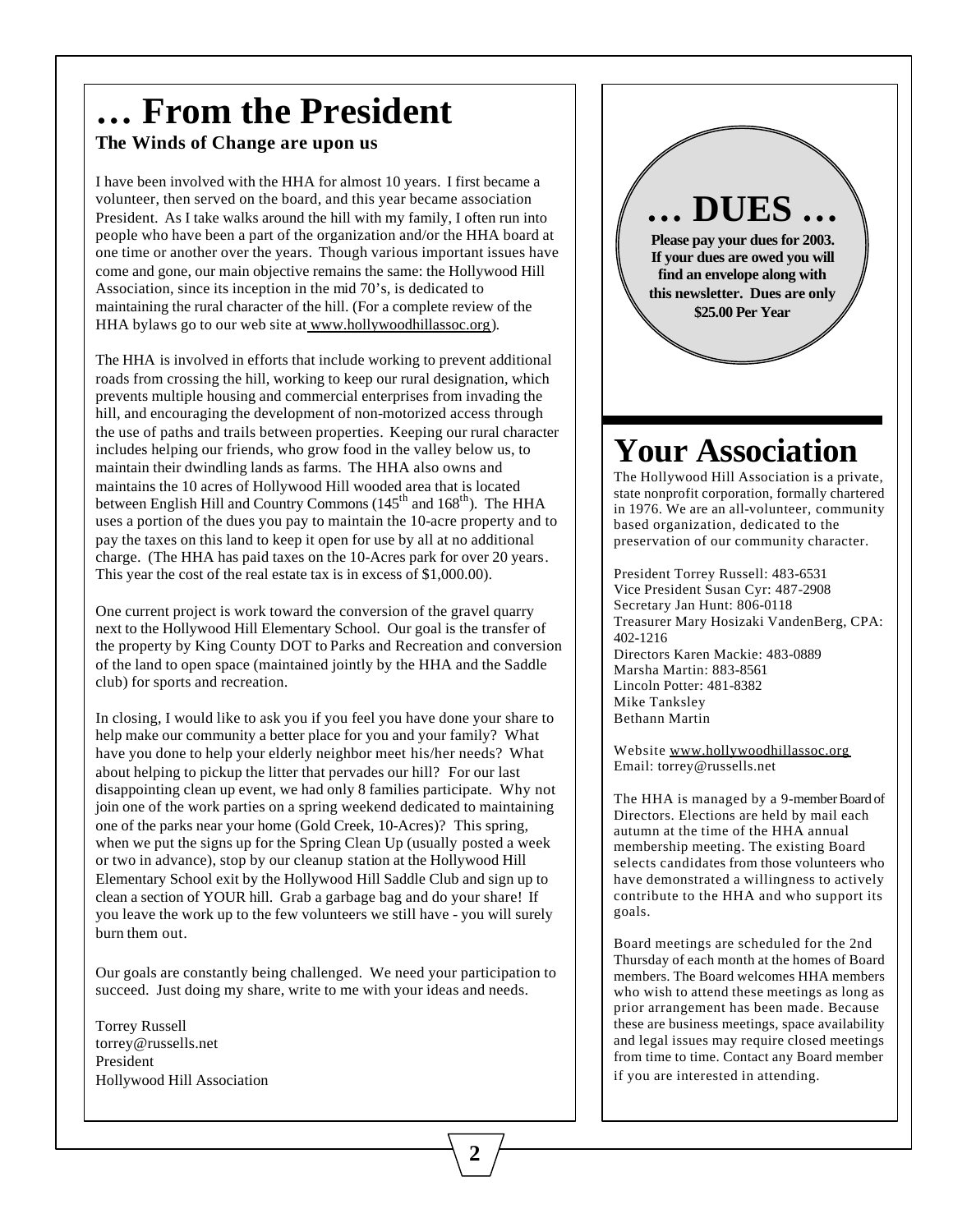# **… From the President**

#### **The Winds of Change are upon us**

I have been involved with the HHA for almost 10 years. I first became a volunteer, then served on the board, and this year became association President. As I take walks around the hill with my family, I often run into people who have been a part of the organization and/or the HHA board at one time or another over the years. Though various important issues have come and gone, our main objective remains the same: the Hollywood Hill Association, since its inception in the mid 70's, is dedicated to maintaining the rural character of the hill. (For a complete review of the HHA bylaws go to our web site at www.hollywoodhillassoc.org).

The HHA is involved in efforts that include working to prevent additional roads from crossing the hill, working to keep our rural designation, which prevents multiple housing and commercial enterprises from invading the hill, and encouraging the development of non-motorized access through the use of paths and trails between properties. Keeping our rural character includes helping our friends, who grow food in the valley below us, to maintain their dwindling lands as farms. The HHA also owns and maintains the 10 acres of Hollywood Hill wooded area that is located between English Hill and Country Commons (145<sup>th</sup> and 168<sup>th</sup>). The HHA uses a portion of the dues you pay to maintain the 10-acre property and to pay the taxes on this land to keep it open for use by all at no additional charge. (The HHA has paid taxes on the 10-Acres park for over 20 years. This year the cost of the real estate tax is in excess of \$1,000.00).

One current project is work toward the conversion of the gravel quarry next to the Hollywood Hill Elementary School. Our goal is the transfer of the property by King County DOT to Parks and Recreation and conversion of the land to open space (maintained jointly by the HHA and the Saddle club) for sports and recreation.

In closing, I would like to ask you if you feel you have done your share to help make our community a better place for you and your family? What have you done to help your elderly neighbor meet his/her needs? What about helping to pickup the litter that pervades our hill? For our last disappointing clean up event, we had only 8 families participate. Why not join one of the work parties on a spring weekend dedicated to maintaining one of the parks near your home (Gold Creek, 10-Acres)? This spring, when we put the signs up for the Spring Clean Up (usually posted a week or two in advance), stop by our cleanup station at the Hollywood Hill Elementary School exit by the Hollywood Hill Saddle Club and sign up to clean a section of YOUR hill. Grab a garbage bag and do your share! If you leave the work up to the few volunteers we still have - you will surely burn them out.

Our goals are constantly being challenged. We need your participation to succeed. Just doing my share, write to me with your ideas and needs.

Torrey Russell torrey@russells.net President Hollywood Hill Association



### **Your Association**

The Hollywood Hill Association is a private, state nonprofit corporation, formally chartered in 1976. We are an all-volunteer, community based organization, dedicated to the preservation of our community character.

President Torrey Russell: 483-6531 Vice President Susan Cyr: 487-2908 Secretary Jan Hunt: 806-0118 Treasurer Mary Hosizaki VandenBerg, CPA: 402-1216 Directors Karen Mackie: 483-0889 Marsha Martin: 883-8561 Lincoln Potter: 481-8382 Mike Tanksley Bethann Martin

Website www.hollywoodhillassoc.org Email: torrey@russells.net

The HHA is managed by a 9-member Board of Directors. Elections are held by mail each autumn at the time of the HHA annual membership meeting. The existing Board selects candidates from those volunteers who have demonstrated a willingness to actively contribute to the HHA and who support its goals.

Board meetings are scheduled for the 2nd Thursday of each month at the homes of Board members. The Board welcomes HHA members who wish to attend these meetings as long as prior arrangement has been made. Because these are business meetings, space availability and legal issues may require closed meetings from time to time. Contact any Board member if you are interested in attending.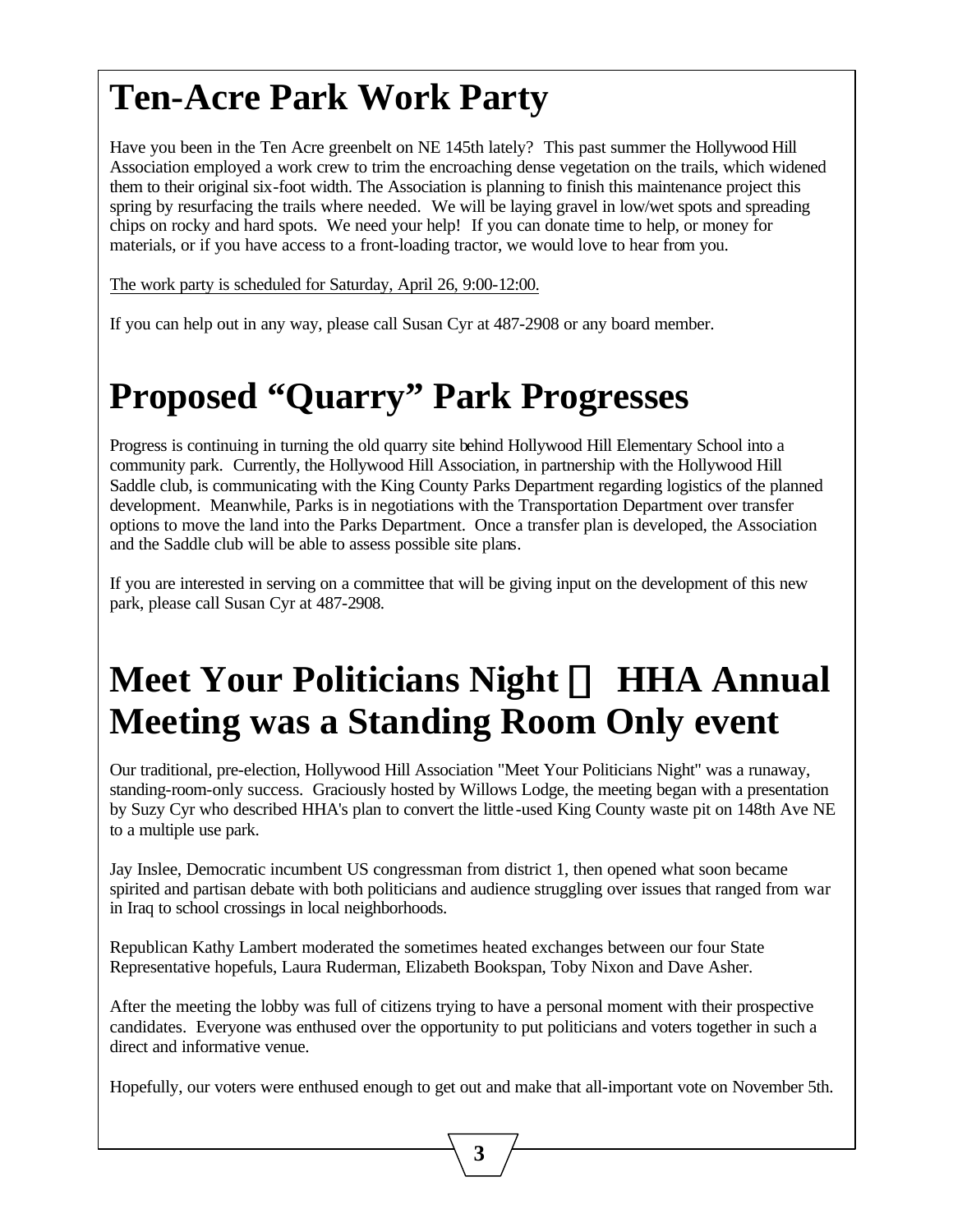### **Ten-Acre Park Work Party**

Have you been in the Ten Acre greenbelt on NE 145th lately? This past summer the Hollywood Hill Association employed a work crew to trim the encroaching dense vegetation on the trails, which widened them to their original six-foot width. The Association is planning to finish this maintenance project this spring by resurfacing the trails where needed. We will be laying gravel in low/wet spots and spreading chips on rocky and hard spots. We need your help! If you can donate time to help, or money for materials, or if you have access to a front-loading tractor, we would love to hear from you.

The work party is scheduled for Saturday, April 26, 9:00-12:00.

If you can help out in any way, please call Susan Cyr at 487-2908 or any board member.

### **Proposed "Quarry" Park Progresses**

Progress is continuing in turning the old quarry site behind Hollywood Hill Elementary School into a community park. Currently, the Hollywood Hill Association, in partnership with the Hollywood Hill Saddle club, is communicating with the King County Parks Department regarding logistics of the planned development. Meanwhile, Parks is in negotiations with the Transportation Department over transfer options to move the land into the Parks Department. Once a transfer plan is developed, the Association and the Saddle club will be able to assess possible site plans.

If you are interested in serving on a committee that will be giving input on the development of this new park, please call Susan Cyr at 487-2908.

### **Meet Your Politicians Night ¾ HHA Annual Meeting was a Standing Room Only event**

Our traditional, pre-election, Hollywood Hill Association "Meet Your Politicians Night" was a runaway, standing-room-only success. Graciously hosted by Willows Lodge, the meeting began with a presentation by Suzy Cyr who described HHA's plan to convert the little -used King County waste pit on 148th Ave NE to a multiple use park.

Jay Inslee, Democratic incumbent US congressman from district 1, then opened what soon became spirited and partisan debate with both politicians and audience struggling over issues that ranged from war in Iraq to school crossings in local neighborhoods.

Republican Kathy Lambert moderated the sometimes heated exchanges between our four State Representative hopefuls, Laura Ruderman, Elizabeth Bookspan, Toby Nixon and Dave Asher.

After the meeting the lobby was full of citizens trying to have a personal moment with their prospective candidates. Everyone was enthused over the opportunity to put politicians and voters together in such a direct and informative venue.

Hopefully, our voters were enthused enough to get out and make that all-important vote on November 5th.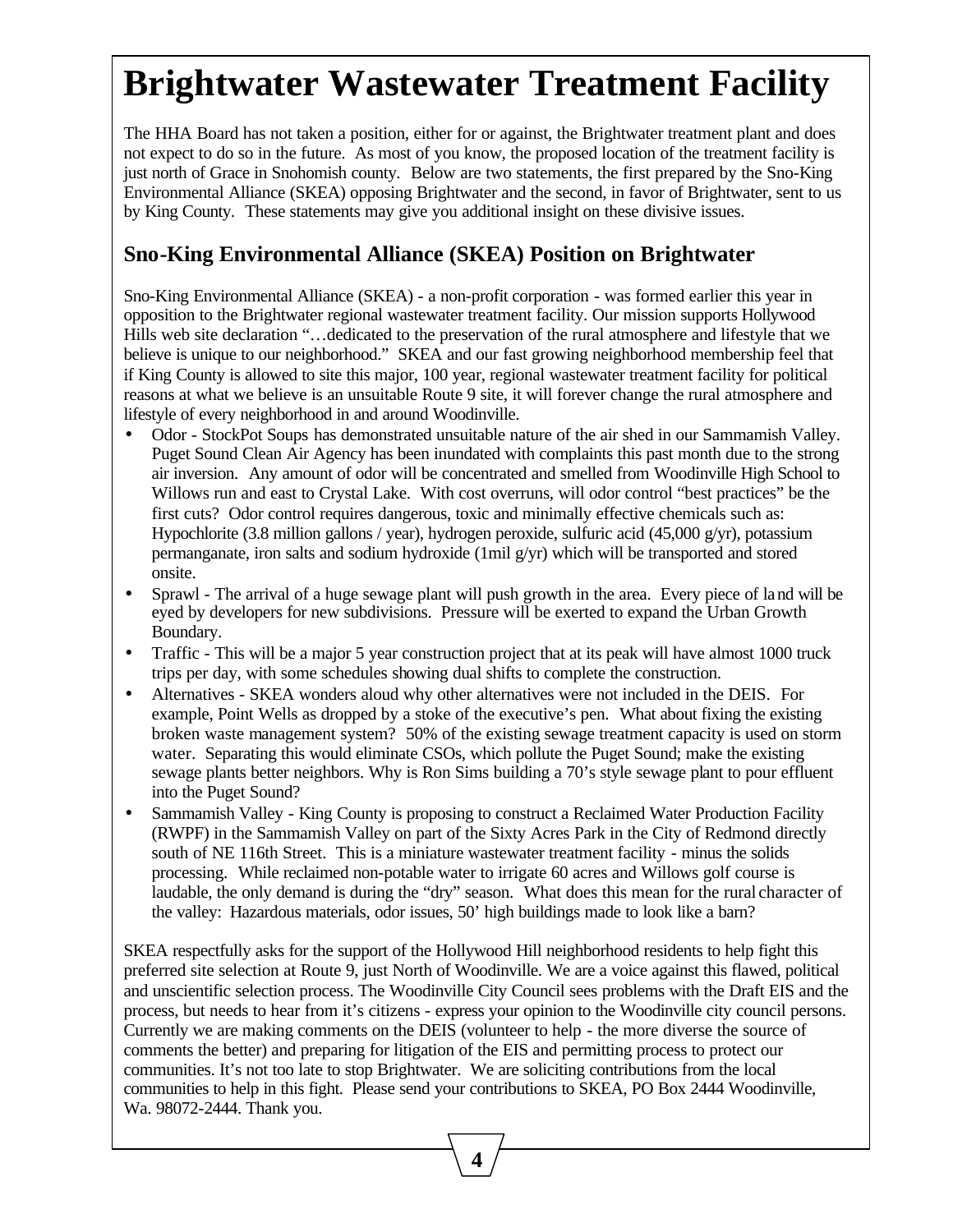### **Brightwater Wastewater Treatment Facility**

The HHA Board has not taken a position, either for or against, the Brightwater treatment plant and does not expect to do so in the future. As most of you know, the proposed location of the treatment facility is just north of Grace in Snohomish county. Below are two statements, the first prepared by the Sno-King Environmental Alliance (SKEA) opposing Brightwater and the second, in favor of Brightwater, sent to us by King County. These statements may give you additional insight on these divisive issues.

#### **Sno-King Environmental Alliance (SKEA) Position on Brightwater**

Sno-King Environmental Alliance (SKEA) - a non-profit corporation - was formed earlier this year in opposition to the Brightwater regional wastewater treatment facility. Our mission supports Hollywood Hills web site declaration "…dedicated to the preservation of the rural atmosphere and lifestyle that we believe is unique to our neighborhood." SKEA and our fast growing neighborhood membership feel that if King County is allowed to site this major, 100 year, regional wastewater treatment facility for political reasons at what we believe is an unsuitable Route 9 site, it will forever change the rural atmosphere and lifestyle of every neighborhood in and around Woodinville.

- Odor StockPot Soups has demonstrated unsuitable nature of the air shed in our Sammamish Valley. Puget Sound Clean Air Agency has been inundated with complaints this past month due to the strong air inversion. Any amount of odor will be concentrated and smelled from Woodinville High School to Willows run and east to Crystal Lake. With cost overruns, will odor control "best practices" be the first cuts? Odor control requires dangerous, toxic and minimally effective chemicals such as: Hypochlorite (3.8 million gallons / year), hydrogen peroxide, sulfuric acid (45,000 g/yr), potassium permanganate, iron salts and sodium hydroxide (1mil g/yr) which will be transported and stored onsite.
- Sprawl The arrival of a huge sewage plant will push growth in the area. Every piece of land will be eyed by developers for new subdivisions. Pressure will be exerted to expand the Urban Growth Boundary.
- Traffic This will be a major 5 year construction project that at its peak will have almost 1000 truck trips per day, with some schedules showing dual shifts to complete the construction.
- Alternatives SKEA wonders aloud why other alternatives were not included in the DEIS. For example, Point Wells as dropped by a stoke of the executive's pen. What about fixing the existing broken waste management system? 50% of the existing sewage treatment capacity is used on storm water. Separating this would eliminate CSOs, which pollute the Puget Sound; make the existing sewage plants better neighbors. Why is Ron Sims building a 70's style sewage plant to pour effluent into the Puget Sound?
- Sammamish Valley King County is proposing to construct a Reclaimed Water Production Facility (RWPF) in the Sammamish Valley on part of the Sixty Acres Park in the City of Redmond directly south of NE 116th Street. This is a miniature wastewater treatment facility - minus the solids processing. While reclaimed non-potable water to irrigate 60 acres and Willows golf course is laudable, the only demand is during the "dry" season. What does this mean for the rural character of the valley: Hazardous materials, odor issues, 50' high buildings made to look like a barn?

SKEA respectfully asks for the support of the Hollywood Hill neighborhood residents to help fight this preferred site selection at Route 9, just North of Woodinville. We are a voice against this flawed, political and unscientific selection process. The Woodinville City Council sees problems with the Draft EIS and the process, but needs to hear from it's citizens - express your opinion to the Woodinville city council persons. Currently we are making comments on the DEIS (volunteer to help - the more diverse the source of comments the better) and preparing for litigation of the EIS and permitting process to protect our communities. It's not too late to stop Brightwater. We are soliciting contributions from the local communities to help in this fight. Please send your contributions to SKEA, PO Box 2444 Woodinville, Wa. 98072-2444. Thank you.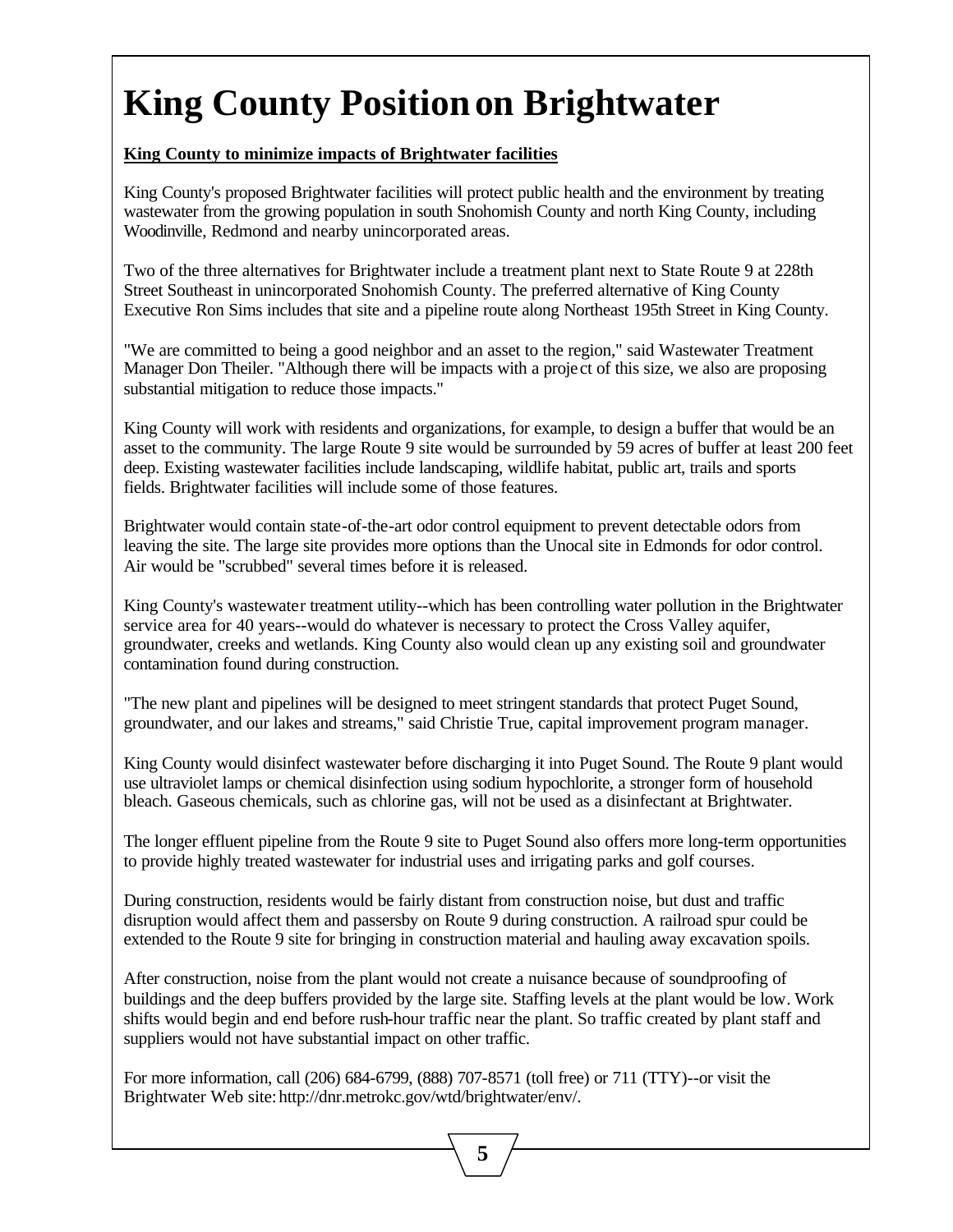# **King County Positionon Brightwater**

#### **King County to minimize impacts of Brightwater facilities**

King County's proposed Brightwater facilities will protect public health and the environment by treating wastewater from the growing population in south Snohomish County and north King County, including Woodinville, Redmond and nearby unincorporated areas.

Two of the three alternatives for Brightwater include a treatment plant next to State Route 9 at 228th Street Southeast in unincorporated Snohomish County. The preferred alternative of King County Executive Ron Sims includes that site and a pipeline route along Northeast 195th Street in King County.

"We are committed to being a good neighbor and an asset to the region," said Wastewater Treatment Manager Don Theiler. "Although there will be impacts with a proje ct of this size, we also are proposing substantial mitigation to reduce those impacts."

King County will work with residents and organizations, for example, to design a buffer that would be an asset to the community. The large Route 9 site would be surrounded by 59 acres of buffer at least 200 feet deep. Existing wastewater facilities include landscaping, wildlife habitat, public art, trails and sports fields. Brightwater facilities will include some of those features.

Brightwater would contain state-of-the-art odor control equipment to prevent detectable odors from leaving the site. The large site provides more options than the Unocal site in Edmonds for odor control. Air would be "scrubbed" several times before it is released.

King County's wastewater treatment utility--which has been controlling water pollution in the Brightwater service area for 40 years--would do whatever is necessary to protect the Cross Valley aquifer, groundwater, creeks and wetlands. King County also would clean up any existing soil and groundwater contamination found during construction.

"The new plant and pipelines will be designed to meet stringent standards that protect Puget Sound, groundwater, and our lakes and streams," said Christie True, capital improvement program manager.

King County would disinfect wastewater before discharging it into Puget Sound. The Route 9 plant would use ultraviolet lamps or chemical disinfection using sodium hypochlorite, a stronger form of household bleach. Gaseous chemicals, such as chlorine gas, will not be used as a disinfectant at Brightwater.

The longer effluent pipeline from the Route 9 site to Puget Sound also offers more long-term opportunities to provide highly treated wastewater for industrial uses and irrigating parks and golf courses.

During construction, residents would be fairly distant from construction noise, but dust and traffic disruption would affect them and passersby on Route 9 during construction. A railroad spur could be extended to the Route 9 site for bringing in construction material and hauling away excavation spoils.

After construction, noise from the plant would not create a nuisance because of soundproofing of buildings and the deep buffers provided by the large site. Staffing levels at the plant would be low. Work shifts would begin and end before rush-hour traffic near the plant. So traffic created by plant staff and suppliers would not have substantial impact on other traffic.

 **5**

For more information, call (206) 684-6799, (888) 707-8571 (toll free) or 711 (TTY)--or visit the Brightwater Web site: http://dnr.metrokc.gov/wtd/brightwater/env/.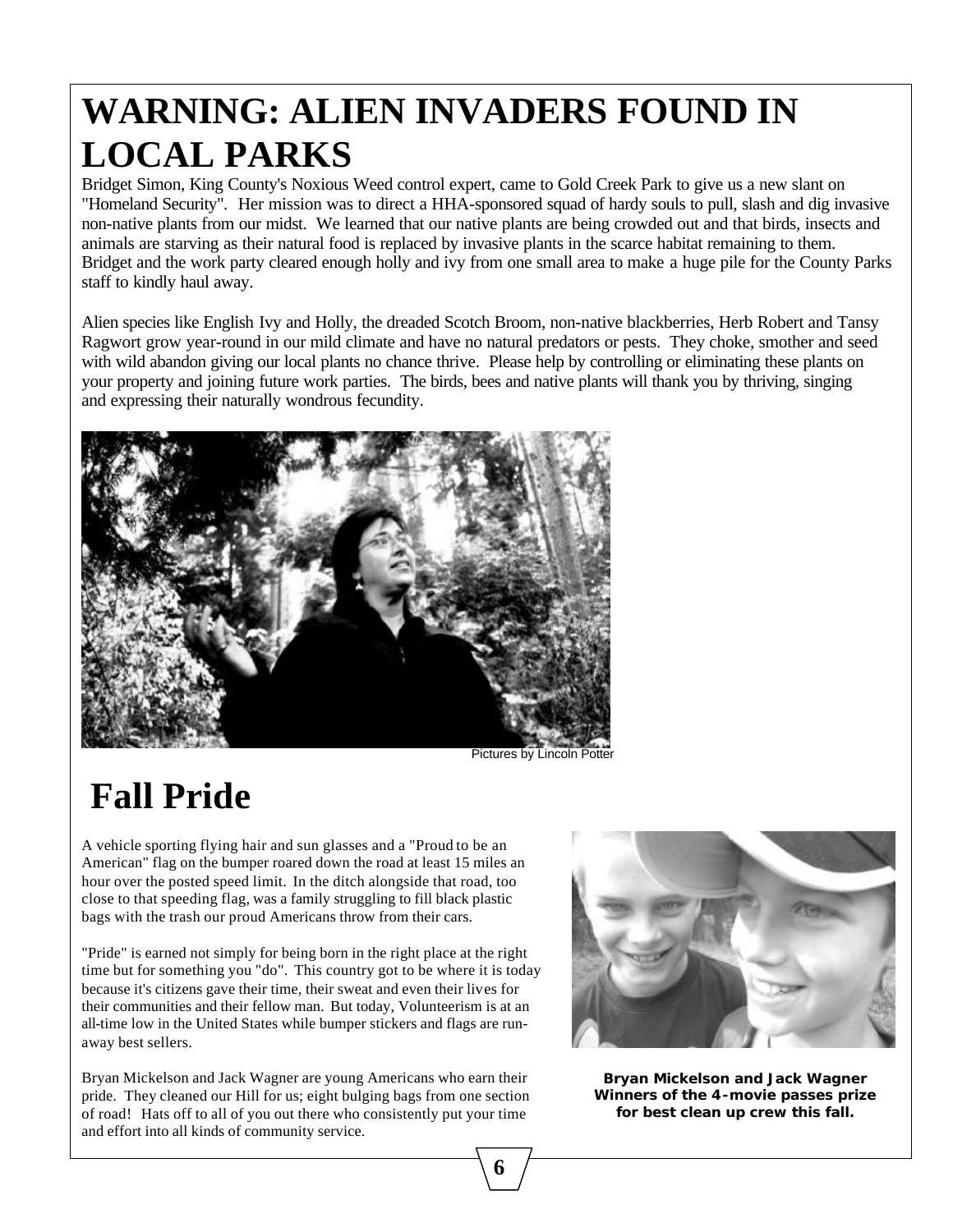# **WARNING: ALIEN INVADERS FOUND IN LOCAL PARKS**

Bridget Simon, King County's Noxious Weed control expert, came to Gold Creek Park to give us a new slant on "Homeland Security". Her mission was to direct a HHA-sponsored squad of hardy souls to pull, slash and dig invasive non-native plants from our midst. We learned that our native plants are being crowded out and that birds, insects and animals are starving as their natural food is replaced by invasive plants in the scarce habitat remaining to them. Bridget and the work party cleared enough holly and ivy from one small area to make a huge pile for the County Parks staff to kindly haul away.

Alien species like English Ivy and Holly, the dreaded Scotch Broom, non-native blackberries, Herb Robert and Tansy Ragwort grow year-round in our mild climate and have no natural predators or pests. They choke, smother and seed with wild abandon giving our local plants no chance thrive. Please help by controlling or eliminating these plants on your property and joining future work parties. The birds, bees and native plants will thank you by thriving, singing and expressing their naturally wondrous fecundity.



Pictures by Lincoln Potter

# **Fall Pride**

A vehicle sporting flying hair and sun glasses and a "Proud to be an American" flag on the bumper roared down the road at least 15 miles an hour over the posted speed limit. In the ditch alongside that road, too close to that speeding flag, was a family struggling to fill black plastic bags with the trash our proud Americans throw from their cars.

"Pride" is earned not simply for being born in the right place at the right time but for something you "do". This country got to be where it is today because it's citizens gave their time, their sweat and even their lives for their communities and their fellow man. But today, Volunteerism is at an all-time low in the United States while bumper stickers and flags are runaway best sellers.

Bryan Mickelson and Jack Wagner are young Americans who earn their pride. They cleaned our Hill for us; eight bulging bags from one section of road! Hats off to all of you out there who consistently put your time and effort into all kinds of community service.



**Bryan Mickelson and Jack Wagner Winners of the 4-movie passes prize for best clean up crew this fall.**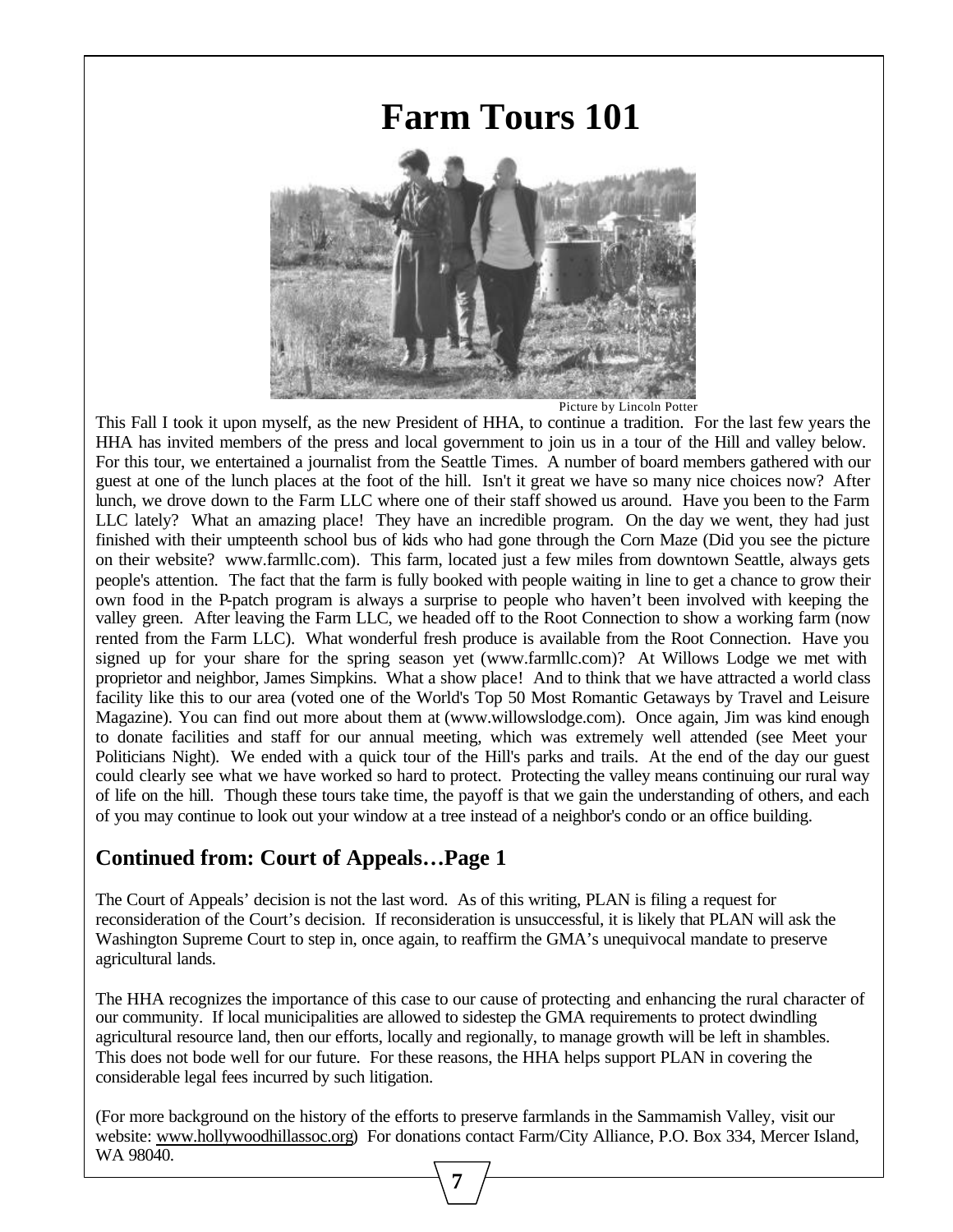### **Farm Tours 101**



Picture by Lincoln Potter

This Fall I took it upon myself, as the new President of HHA, to continue a tradition. For the last few years the HHA has invited members of the press and local government to join us in a tour of the Hill and valley below. For this tour, we entertained a journalist from the Seattle Times. A number of board members gathered with our guest at one of the lunch places at the foot of the hill. Isn't it great we have so many nice choices now? After lunch, we drove down to the Farm LLC where one of their staff showed us around. Have you been to the Farm LLC lately? What an amazing place! They have an incredible program. On the day we went, they had just finished with their umpteenth school bus of kids who had gone through the Corn Maze (Did you see the picture on their website? www.farmllc.com). This farm, located just a few miles from downtown Seattle, always gets people's attention. The fact that the farm is fully booked with people waiting in line to get a chance to grow their own food in the P-patch program is always a surprise to people who haven't been involved with keeping the valley green. After leaving the Farm LLC, we headed off to the Root Connection to show a working farm (now rented from the Farm LLC). What wonderful fresh produce is available from the Root Connection. Have you signed up for your share for the spring season yet (www.farmllc.com)? At Willows Lodge we met with proprietor and neighbor, James Simpkins. What a show place! And to think that we have attracted a world class facility like this to our area (voted one of the World's Top 50 Most Romantic Getaways by Travel and Leisure Magazine). You can find out more about them at (www.willowslodge.com). Once again, Jim was kind enough to donate facilities and staff for our annual meeting, which was extremely well attended (see Meet your Politicians Night). We ended with a quick tour of the Hill's parks and trails. At the end of the day our guest could clearly see what we have worked so hard to protect. Protecting the valley means continuing our rural way of life on the hill. Though these tours take time, the payoff is that we gain the understanding of others, and each of you may continue to look out your window at a tree instead of a neighbor's condo or an office building.

#### **Continued from: Court of Appeals…Page 1**

The Court of Appeals' decision is not the last word. As of this writing, PLAN is filing a request for reconsideration of the Court's decision. If reconsideration is unsuccessful, it is likely that PLAN will ask the Washington Supreme Court to step in, once again, to reaffirm the GMA's unequivocal mandate to preserve agricultural lands.

The HHA recognizes the importance of this case to our cause of protecting and enhancing the rural character of our community. If local municipalities are allowed to sidestep the GMA requirements to protect dwindling agricultural resource land, then our efforts, locally and regionally, to manage growth will be left in shambles. This does not bode well for our future. For these reasons, the HHA helps support PLAN in covering the considerable legal fees incurred by such litigation.

(For more background on the history of the efforts to preserve farmlands in the Sammamish Valley, visit our website: www.hollywoodhillassoc.org) For donations contact Farm/City Alliance, P.O. Box 334, Mercer Island, WA 98040.